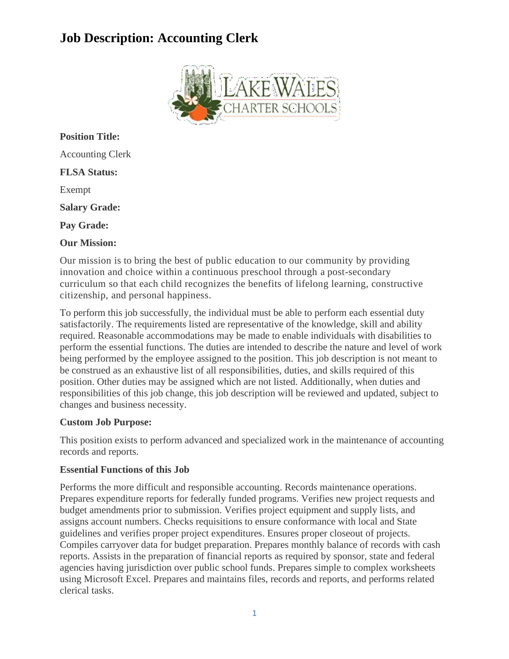# **Job Description: Accounting Clerk**



**Position Title:** Accounting Clerk **FLSA Status:** Exempt **Salary Grade: Pay Grade: Our Mission:**

Our mission is to bring the best of public education to our community by providing innovation and choice within a continuous preschool through a post-secondary curriculum so that each child recognizes the benefits of lifelong learning, constructive citizenship, and personal happiness.

To perform this job successfully, the individual must be able to perform each essential duty satisfactorily. The requirements listed are representative of the knowledge, skill and ability required. Reasonable accommodations may be made to enable individuals with disabilities to perform the essential functions. The duties are intended to describe the nature and level of work being performed by the employee assigned to the position. This job description is not meant to be construed as an exhaustive list of all responsibilities, duties, and skills required of this position. Other duties may be assigned which are not listed. Additionally, when duties and responsibilities of this job change, this job description will be reviewed and updated, subject to changes and business necessity.

## **Custom Job Purpose:**

This position exists to perform advanced and specialized work in the maintenance of accounting records and reports.

## **Essential Functions of this Job**

Performs the more difficult and responsible accounting. Records maintenance operations. Prepares expenditure reports for federally funded programs. Verifies new project requests and budget amendments prior to submission. Verifies project equipment and supply lists, and assigns account numbers. Checks requisitions to ensure conformance with local and State guidelines and verifies proper project expenditures. Ensures proper closeout of projects. Compiles carryover data for budget preparation. Prepares monthly balance of records with cash reports. Assists in the preparation of financial reports as required by sponsor, state and federal agencies having jurisdiction over public school funds. Prepares simple to complex worksheets using Microsoft Excel. Prepares and maintains files, records and reports, and performs related clerical tasks.